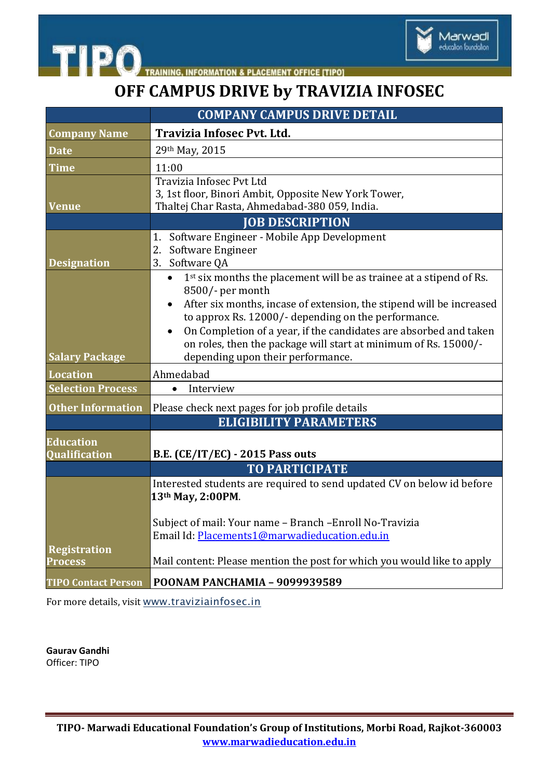

TRAINING, INFORMATION & PLACEMENT OFFICE [TIPO]

**OFF CAMPUS DRIVE by TRAVIZIA INFOSEC**

|                                   | <b>COMPANY CAMPUS DRIVE DETAIL</b>                                                                                                   |
|-----------------------------------|--------------------------------------------------------------------------------------------------------------------------------------|
| <b>Company Name</b>               | Travizia Infosec Pvt. Ltd.                                                                                                           |
| <b>Date</b>                       | 29th May, 2015                                                                                                                       |
| <b>Time</b>                       | 11:00                                                                                                                                |
| Venue                             | Travizia Infosec Pvt Ltd<br>3, 1st floor, Binori Ambit, Opposite New York Tower,<br>Thaltej Char Rasta, Ahmedabad-380 059, India.    |
|                                   | <b>JOB DESCRIPTION</b>                                                                                                               |
| <b>Designation</b>                | Software Engineer - Mobile App Development<br>1.<br>2.<br>Software Engineer<br>3.<br>Software QA                                     |
|                                   | 1 <sup>st</sup> six months the placement will be as trainee at a stipend of Rs.<br>$\bullet$<br>8500/- per month                     |
|                                   | After six months, incase of extension, the stipend will be increased<br>to approx Rs. 12000/- depending on the performance.          |
|                                   | On Completion of a year, if the candidates are absorbed and taken<br>on roles, then the package will start at minimum of Rs. 15000/- |
| <b>Salary Package</b>             | depending upon their performance.                                                                                                    |
| <b>Location</b>                   | Ahmedabad                                                                                                                            |
| <b>Selection Process</b>          | Interview<br>$\bullet$                                                                                                               |
| <b>Other Information</b>          | Please check next pages for job profile details                                                                                      |
|                                   | <b>ELIGIBILITY PARAMETERS</b>                                                                                                        |
| <b>Education</b><br>Qualification | <b>B.E. (CE/IT/EC) - 2015 Pass outs</b>                                                                                              |
|                                   | <b>TO PARTICIPATE</b>                                                                                                                |
|                                   | Interested students are required to send updated CV on below id before<br>13th May, 2:00PM.                                          |
|                                   | Subject of mail: Your name - Branch - Enroll No-Travizia<br>Email Id: Placements1@marwadieducation.edu.in                            |
| Registration<br><b>Process</b>    | Mail content: Please mention the post for which you would like to apply                                                              |
| <b>TIPO Contact Person</b>        | POONAM PANCHAMIA - 9099939589                                                                                                        |

For more details, visit [www.traviziainfosec.in](http://www.traviziainfosec.in/)

**Gaurav Gandhi**  Officer: TIPO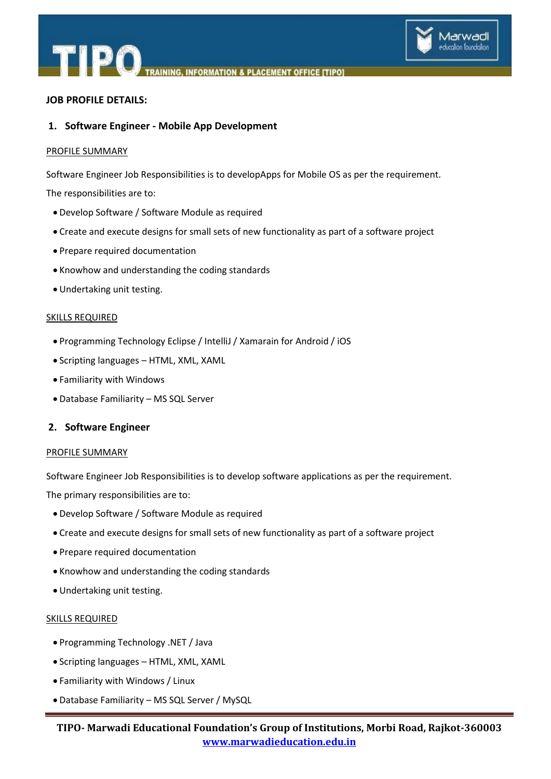

**NFORMATION & PLACEMENT OFFICE ITIPOT** 

# **JOB PROFILE DETAILS:**

# **1. Software Engineer - Mobile App Development**

### PROFILE SUMMARY

Software Engineer Job Responsibilities is to developApps for Mobile OS as per the requirement.

The responsibilities are to:

- Develop Software / Software Module as required
- Create and execute designs for small sets of new functionality as part of a software project
- Prepare required documentation
- Knowhow and understanding the coding standards
- Undertaking unit testing.

#### SKILLS REQUIRED

- Programming Technology Eclipse / IntelliJ / Xamarain for Android / iOS
- Scripting languages HTML, XML, XAML
- Familiarity with Windows
- Database Familiarity MS SQL Server

## **2. Software Engineer**

#### PROFILE SUMMARY

Software Engineer Job Responsibilities is to develop software applications as per the requirement.

The primary responsibilities are to:

- Develop Software / Software Module as required
- Create and execute designs for small sets of new functionality as part of a software project
- Prepare required documentation
- Knowhow and understanding the coding standards
- Undertaking unit testing.

#### SKILLS REQUIRED

- Programming Technology .NET / Java
- Scripting languages HTML, XML, XAML
- Familiarity with Windows / Linux
- Database Familiarity MS SQL Server / MySQL